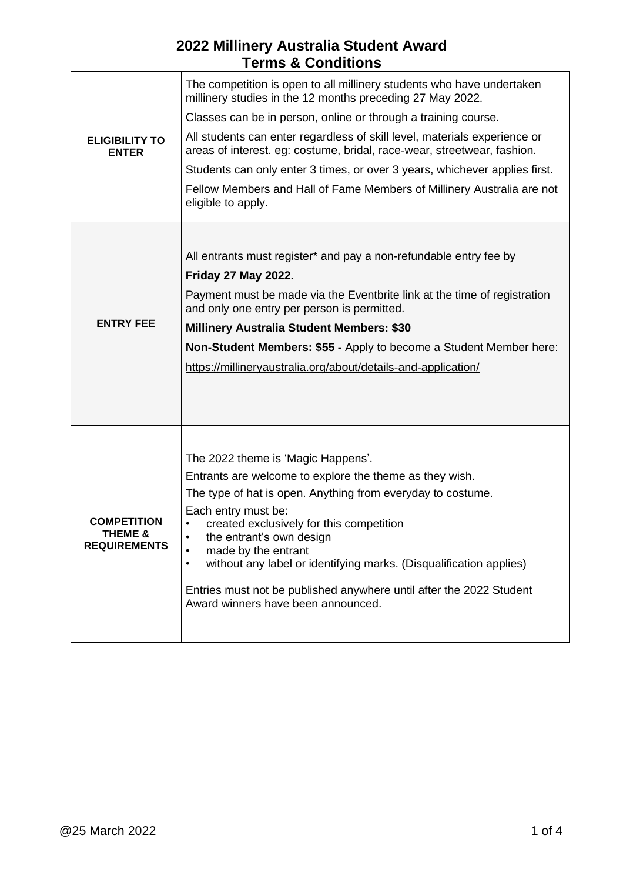| <b>ELIGIBILITY TO</b><br><b>ENTER</b>                | The competition is open to all millinery students who have undertaken<br>millinery studies in the 12 months preceding 27 May 2022.<br>Classes can be in person, online or through a training course.<br>All students can enter regardless of skill level, materials experience or<br>areas of interest. eg: costume, bridal, race-wear, streetwear, fashion.<br>Students can only enter 3 times, or over 3 years, whichever applies first.<br>Fellow Members and Hall of Fame Members of Millinery Australia are not<br>eligible to apply. |
|------------------------------------------------------|--------------------------------------------------------------------------------------------------------------------------------------------------------------------------------------------------------------------------------------------------------------------------------------------------------------------------------------------------------------------------------------------------------------------------------------------------------------------------------------------------------------------------------------------|
| <b>ENTRY FEE</b>                                     | All entrants must register* and pay a non-refundable entry fee by<br><b>Friday 27 May 2022.</b><br>Payment must be made via the Eventbrite link at the time of registration<br>and only one entry per person is permitted.<br><b>Millinery Australia Student Members: \$30</b><br>Non-Student Members: \$55 - Apply to become a Student Member here:<br>https://millineryaustralia.org/about/details-and-application/                                                                                                                      |
| <b>COMPETITION</b><br>THEME &<br><b>REQUIREMENTS</b> | The 2022 theme is 'Magic Happens'.<br>Entrants are welcome to explore the theme as they wish.<br>The type of hat is open. Anything from everyday to costume.<br>Each entry must be:<br>created exclusively for this competition<br>the entrant's own design<br>made by the entrant<br>without any label or identifying marks. (Disqualification applies)<br>$\bullet$<br>Entries must not be published anywhere until after the 2022 Student<br>Award winners have been announced.                                                         |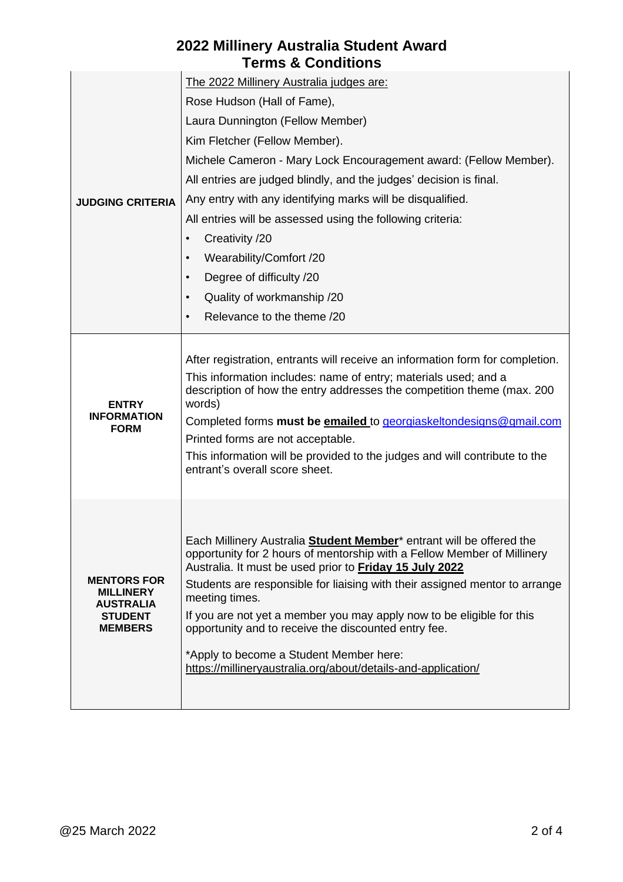| <b>JUDGING CRITERIA</b>                                                                        | The 2022 Millinery Australia judges are:                                                                                                                                                                                                                                                                                                                                                                                                                                                                                                                                    |
|------------------------------------------------------------------------------------------------|-----------------------------------------------------------------------------------------------------------------------------------------------------------------------------------------------------------------------------------------------------------------------------------------------------------------------------------------------------------------------------------------------------------------------------------------------------------------------------------------------------------------------------------------------------------------------------|
|                                                                                                | Rose Hudson (Hall of Fame),                                                                                                                                                                                                                                                                                                                                                                                                                                                                                                                                                 |
|                                                                                                | Laura Dunnington (Fellow Member)                                                                                                                                                                                                                                                                                                                                                                                                                                                                                                                                            |
|                                                                                                | Kim Fletcher (Fellow Member).                                                                                                                                                                                                                                                                                                                                                                                                                                                                                                                                               |
|                                                                                                | Michele Cameron - Mary Lock Encouragement award: (Fellow Member).                                                                                                                                                                                                                                                                                                                                                                                                                                                                                                           |
|                                                                                                | All entries are judged blindly, and the judges' decision is final.                                                                                                                                                                                                                                                                                                                                                                                                                                                                                                          |
|                                                                                                | Any entry with any identifying marks will be disqualified.                                                                                                                                                                                                                                                                                                                                                                                                                                                                                                                  |
|                                                                                                | All entries will be assessed using the following criteria:                                                                                                                                                                                                                                                                                                                                                                                                                                                                                                                  |
|                                                                                                | Creativity /20<br>$\bullet$                                                                                                                                                                                                                                                                                                                                                                                                                                                                                                                                                 |
|                                                                                                | Wearability/Comfort /20<br>$\bullet$                                                                                                                                                                                                                                                                                                                                                                                                                                                                                                                                        |
|                                                                                                | Degree of difficulty /20<br>$\bullet$                                                                                                                                                                                                                                                                                                                                                                                                                                                                                                                                       |
|                                                                                                | Quality of workmanship /20<br>$\bullet$                                                                                                                                                                                                                                                                                                                                                                                                                                                                                                                                     |
|                                                                                                | Relevance to the theme /20<br>$\bullet$                                                                                                                                                                                                                                                                                                                                                                                                                                                                                                                                     |
| <b>ENTRY</b><br><b>INFORMATION</b><br><b>FORM</b>                                              | After registration, entrants will receive an information form for completion.<br>This information includes: name of entry; materials used; and a<br>description of how the entry addresses the competition theme (max. 200<br>words)<br>Completed forms must be emailed to georgiaskeltondesigns@gmail.com<br>Printed forms are not acceptable.<br>This information will be provided to the judges and will contribute to the<br>entrant's overall score sheet.                                                                                                             |
| <b>MENTORS FOR</b><br><b>MILLINERY</b><br><b>AUSTRALIA</b><br><b>STUDENT</b><br><b>MEMBERS</b> | Each Millinery Australia <b>Student Member</b> <sup>*</sup> entrant will be offered the<br>opportunity for 2 hours of mentorship with a Fellow Member of Millinery<br>Australia. It must be used prior to Friday 15 July 2022<br>Students are responsible for liaising with their assigned mentor to arrange<br>meeting times.<br>If you are not yet a member you may apply now to be eligible for this<br>opportunity and to receive the discounted entry fee.<br>*Apply to become a Student Member here:<br>https://millineryaustralia.org/about/details-and-application/ |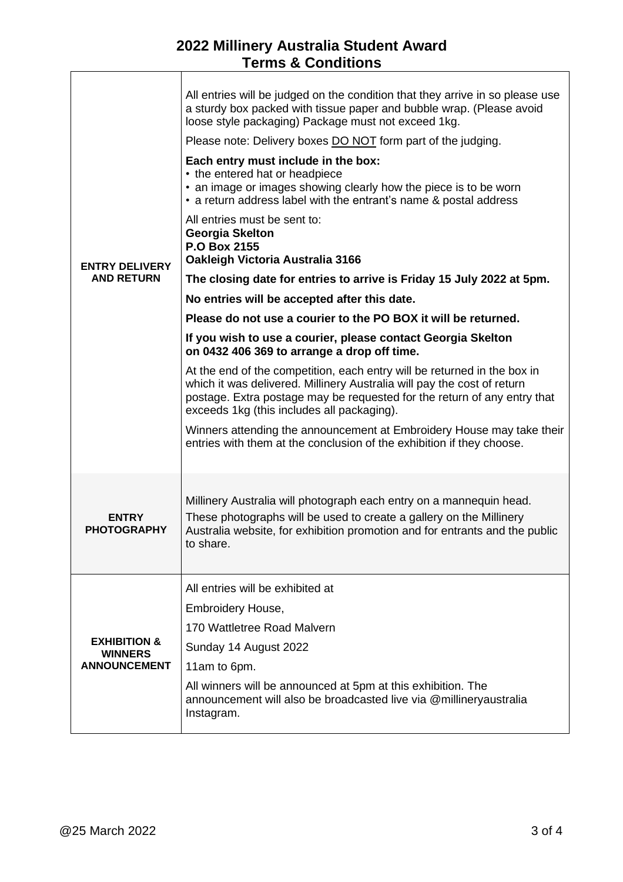| <b>ENTRY DELIVERY</b><br><b>AND RETURN</b>                       | All entries will be judged on the condition that they arrive in so please use<br>a sturdy box packed with tissue paper and bubble wrap. (Please avoid<br>loose style packaging) Package must not exceed 1kg.<br>Please note: Delivery boxes DO NOT form part of the judging.<br>Each entry must include in the box:<br>• the entered hat or headpiece<br>• an image or images showing clearly how the piece is to be worn<br>• a return address label with the entrant's name & postal address |
|------------------------------------------------------------------|------------------------------------------------------------------------------------------------------------------------------------------------------------------------------------------------------------------------------------------------------------------------------------------------------------------------------------------------------------------------------------------------------------------------------------------------------------------------------------------------|
|                                                                  | All entries must be sent to:<br><b>Georgia Skelton</b><br>P.O Box 2155<br>Oakleigh Victoria Australia 3166                                                                                                                                                                                                                                                                                                                                                                                     |
|                                                                  | The closing date for entries to arrive is Friday 15 July 2022 at 5pm.                                                                                                                                                                                                                                                                                                                                                                                                                          |
|                                                                  | No entries will be accepted after this date.                                                                                                                                                                                                                                                                                                                                                                                                                                                   |
|                                                                  | Please do not use a courier to the PO BOX it will be returned.                                                                                                                                                                                                                                                                                                                                                                                                                                 |
|                                                                  | If you wish to use a courier, please contact Georgia Skelton<br>on 0432 406 369 to arrange a drop off time.                                                                                                                                                                                                                                                                                                                                                                                    |
|                                                                  | At the end of the competition, each entry will be returned in the box in<br>which it was delivered. Millinery Australia will pay the cost of return<br>postage. Extra postage may be requested for the return of any entry that<br>exceeds 1kg (this includes all packaging).                                                                                                                                                                                                                  |
|                                                                  | Winners attending the announcement at Embroidery House may take their<br>entries with them at the conclusion of the exhibition if they choose.                                                                                                                                                                                                                                                                                                                                                 |
| <b>ENTRY</b><br><b>PHOTOGRAPHY</b>                               | Millinery Australia will photograph each entry on a mannequin head.<br>These photographs will be used to create a gallery on the Millinery<br>Australia website, for exhibition promotion and for entrants and the public<br>to share.                                                                                                                                                                                                                                                         |
| <b>EXHIBITION &amp;</b><br><b>WINNERS</b><br><b>ANNOUNCEMENT</b> | All entries will be exhibited at                                                                                                                                                                                                                                                                                                                                                                                                                                                               |
|                                                                  | Embroidery House,                                                                                                                                                                                                                                                                                                                                                                                                                                                                              |
|                                                                  | 170 Wattletree Road Malvern                                                                                                                                                                                                                                                                                                                                                                                                                                                                    |
|                                                                  | Sunday 14 August 2022                                                                                                                                                                                                                                                                                                                                                                                                                                                                          |
|                                                                  | 11am to 6pm.                                                                                                                                                                                                                                                                                                                                                                                                                                                                                   |
|                                                                  | All winners will be announced at 5pm at this exhibition. The<br>announcement will also be broadcasted live via @millineryaustralia<br>Instagram.                                                                                                                                                                                                                                                                                                                                               |